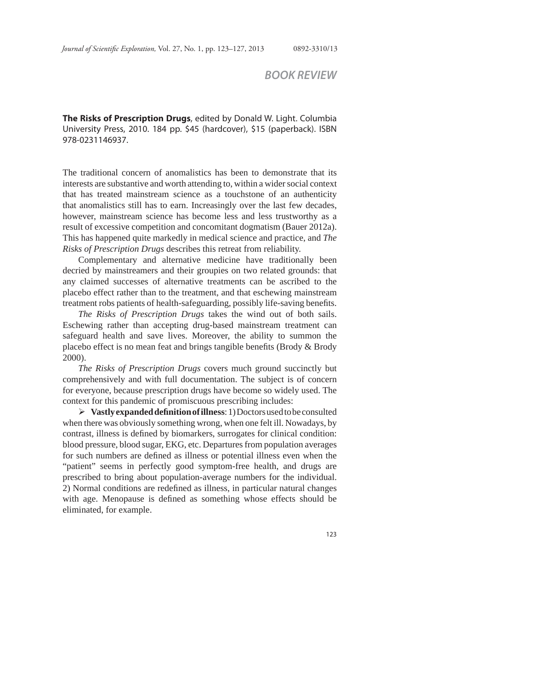## *BOOK REVIEW*

**The Risks of Prescription Drugs**, edited by Donald W. Light. Columbia University Press, 2010. 184 pp. \$45 (hardcover), \$15 (paperback). ISBN 978-0231146937.

The traditional concern of anomalistics has been to demonstrate that its interests are substantive and worth attending to, within a wider social context that has treated mainstream science as a touchstone of an authenticity that anomalistics still has to earn. Increasingly over the last few decades, however, mainstream science has become less and less trustworthy as a result of excessive competition and concomitant dogmatism (Bauer 2012a). This has happened quite markedly in medical science and practice, and *The Risks of Prescription Drugs* describes this retreat from reliability.

Complementary and alternative medicine have traditionally been decried by mainstreamers and their groupies on two related grounds: that any claimed successes of alternative treatments can be ascribed to the placebo effect rather than to the treatment, and that eschewing mainstream treatment robs patients of health-safeguarding, possibly life-saving benefits.

*The Risks of Prescription Drugs* takes the wind out of both sails. Eschewing rather than accepting drug-based mainstream treatment can safeguard health and save lives. Moreover, the ability to summon the placebo effect is no mean feat and brings tangible benefits (Brody  $\&$  Brody 2000).

*The Risks of Prescription Drugs* covers much ground succinctly but comprehensively and with full documentation. The subject is of concern for everyone, because prescription drugs have become so widely used. The context for this pandemic of promiscuous prescribing includes:

**Vastly expanded defi nition of illness**: 1) Doctors used to be consulted when there was obviously something wrong, when one felt ill. Nowadays, by contrast, illness is defined by biomarkers, surrogates for clinical condition: blood pressure, blood sugar, EKG, etc. Departures from population averages for such numbers are defined as illness or potential illness even when the "patient" seems in perfectly good symptom-free health, and drugs are prescribed to bring about population-average numbers for the individual. 2) Normal conditions are redefined as illness, in particular natural changes with age. Menopause is defined as something whose effects should be eliminated, for example.

123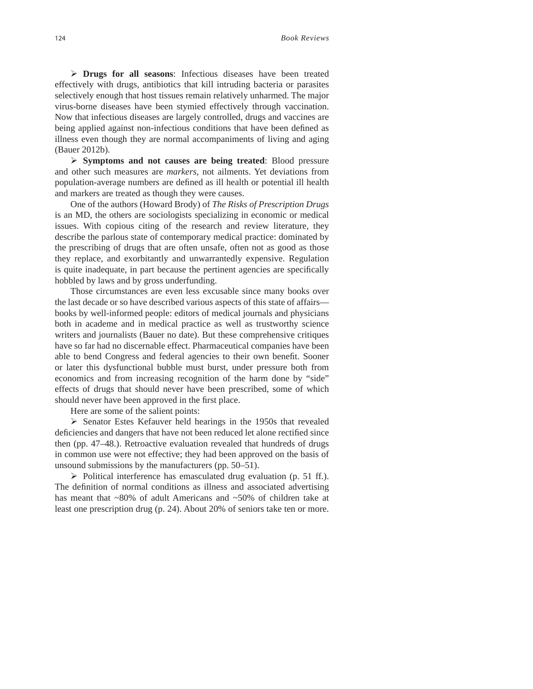**Drugs for all seasons**: Infectious diseases have been treated effectively with drugs, antibiotics that kill intruding bacteria or parasites selectively enough that host tissues remain relatively unharmed. The major virus-borne diseases have been stymied effectively through vaccination. Now that infectious diseases are largely controlled, drugs and vaccines are being applied against non-infectious conditions that have been defined as illness even though they are normal accompaniments of living and aging (Bauer 2012b).

**Symptoms and not causes are being treated**: Blood pressure and other such measures are *markers*, not ailments. Yet deviations from population-average numbers are defined as ill health or potential ill health and markers are treated as though they were causes.

One of the authors (Howard Brody) of *The Risks of Prescription Drugs* is an MD, the others are sociologists specializing in economic or medical issues. With copious citing of the research and review literature, they describe the parlous state of contemporary medical practice: dominated by the prescribing of drugs that are often unsafe, often not as good as those they replace, and exorbitantly and unwarrantedly expensive. Regulation is quite inadequate, in part because the pertinent agencies are specifically hobbled by laws and by gross underfunding.

Those circumstances are even less excusable since many books over the last decade or so have described various aspects of this state of affairs books by well-informed people: editors of medical journals and physicians both in academe and in medical practice as well as trustworthy science writers and journalists (Bauer no date). But these comprehensive critiques have so far had no discernable effect. Pharmaceutical companies have been able to bend Congress and federal agencies to their own benefit. Sooner or later this dysfunctional bubble must burst, under pressure both from economics and from increasing recognition of the harm done by "side" effects of drugs that should never have been prescribed, some of which should never have been approved in the first place.

Here are some of the salient points:

 $\triangleright$  Senator Estes Kefauver held hearings in the 1950s that revealed deficiencies and dangers that have not been reduced let alone rectified since then (pp. 47–48.). Retroactive evaluation revealed that hundreds of drugs in common use were not effective; they had been approved on the basis of unsound submissions by the manufacturers (pp. 50–51).

 $\triangleright$  Political interference has emasculated drug evaluation (p. 51 ff.). The definition of normal conditions as illness and associated advertising has meant that ~80% of adult Americans and ~50% of children take at least one prescription drug (p. 24). About 20% of seniors take ten or more.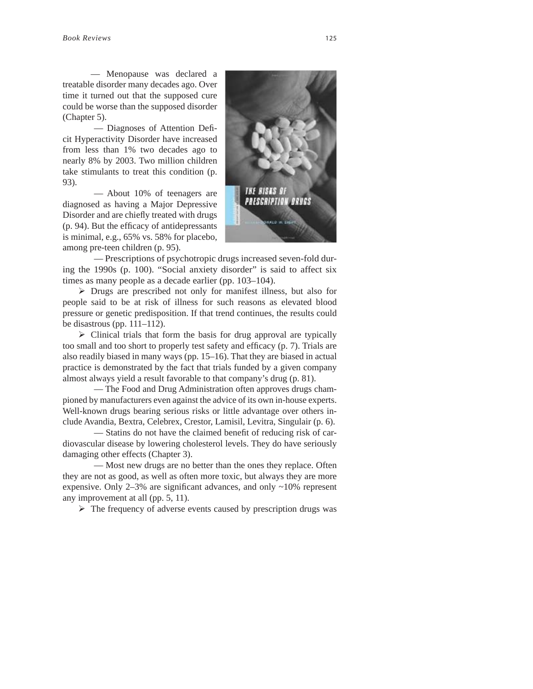— Menopause was declared a treatable disorder many decades ago. Over time it turned out that the supposed cure could be worse than the supposed disorder (Chapter 5).

 — Diagnoses of Attention Defi cit Hyperactivity Disorder have increased from less than 1% two decades ago to nearly 8% by 2003. Two million children take stimulants to treat this condition (p. 93).

 — About 10% of teenagers are diagnosed as having a Major Depressive Disorder and are chiefly treated with drugs  $(p. 94)$ . But the efficacy of antidepressants is minimal, e.g., 65% vs. 58% for placebo, among pre-teen children (p. 95).



 — Prescriptions of psychotropic drugs increased seven-fold during the 1990s (p. 100). "Social anxiety disorder" is said to affect six times as many people as a decade earlier (pp. 103–104).

Drugs are prescribed not only for manifest illness, but also for people said to be at risk of illness for such reasons as elevated blood pressure or genetic predisposition. If that trend continues, the results could be disastrous (pp.  $111-112$ ).

 $\triangleright$  Clinical trials that form the basis for drug approval are typically too small and too short to properly test safety and efficacy (p. 7). Trials are also readily biased in many ways (pp. 15–16). That they are biased in actual practice is demonstrated by the fact that trials funded by a given company almost always yield a result favorable to that company's drug (p. 81).

— The Food and Drug Administration often approves drugs championed by manufacturers even against the advice of its own in-house experts. Well-known drugs bearing serious risks or little advantage over others include Avandia, Bextra, Celebrex, Crestor, Lamisil, Levitra, Singulair (p. 6).

— Statins do not have the claimed benefit of reducing risk of cardiovascular disease by lowering cholesterol levels. They do have seriously damaging other effects (Chapter 3).

 — Most new drugs are no better than the ones they replace. Often they are not as good, as well as often more toxic, but always they are more expensive. Only 2–3% are significant advances, and only  $\sim$ 10% represent any improvement at all (pp. 5, 11).

 $\triangleright$  The frequency of adverse events caused by prescription drugs was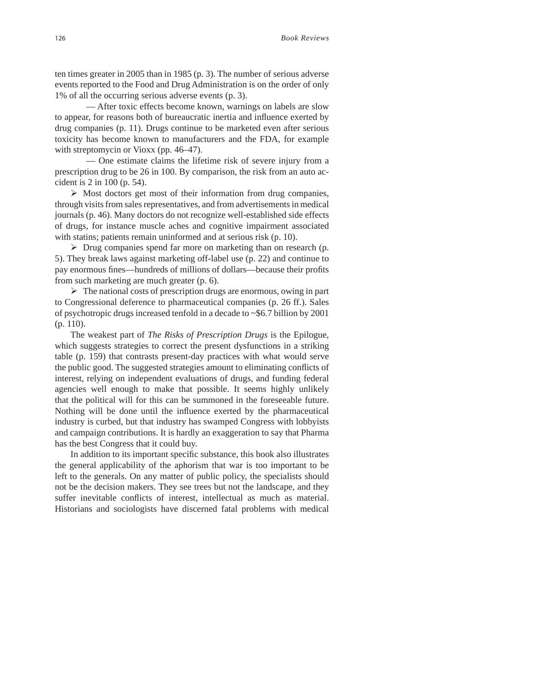ten times greater in 2005 than in 1985 (p. 3). The number of serious adverse events reported to the Food and Drug Administration is on the order of only 1% of all the occurring serious adverse events (p. 3).

 — After toxic effects become known, warnings on labels are slow to appear, for reasons both of bureaucratic inertia and influence exerted by drug companies (p. 11). Drugs continue to be marketed even after serious toxicity has become known to manufacturers and the FDA, for example with streptomycin or Vioxx (pp. 46–47).

 — One estimate claims the lifetime risk of severe injury from a prescription drug to be 26 in 100. By comparison, the risk from an auto accident is 2 in 100 (p. 54).

 $\triangleright$  Most doctors get most of their information from drug companies, through visits from sales representatives, and from advertisements in medical journals (p. 46). Many doctors do not recognize well-established side effects of drugs, for instance muscle aches and cognitive impairment associated with statins; patients remain uninformed and at serious risk (p. 10).

 $\triangleright$  Drug companies spend far more on marketing than on research (p. 5). They break laws against marketing off-label use (p. 22) and continue to pay enormous fines—hundreds of millions of dollars—because their profits from such marketing are much greater (p. 6).

 $\triangleright$  The national costs of prescription drugs are enormous, owing in part to Congressional deference to pharmaceutical companies (p. 26 ff.). Sales of psychotropic drugs increased tenfold in a decade to ~\$6.7 billion by 2001 (p. 110).

The weakest part of *The Risks of Prescription Drugs* is the Epilogue, which suggests strategies to correct the present dysfunctions in a striking table (p. 159) that contrasts present-day practices with what would serve the public good. The suggested strategies amount to eliminating conflicts of interest, relying on independent evaluations of drugs, and funding federal agencies well enough to make that possible. It seems highly unlikely that the political will for this can be summoned in the foreseeable future. Nothing will be done until the influence exerted by the pharmaceutical industry is curbed, but that industry has swamped Congress with lobbyists and campaign contributions. It is hardly an exaggeration to say that Pharma has the best Congress that it could buy.

In addition to its important specific substance, this book also illustrates the general applicability of the aphorism that war is too important to be left to the generals. On any matter of public policy, the specialists should not be the decision makers. They see trees but not the landscape, and they suffer inevitable conflicts of interest, intellectual as much as material. Historians and sociologists have discerned fatal problems with medical